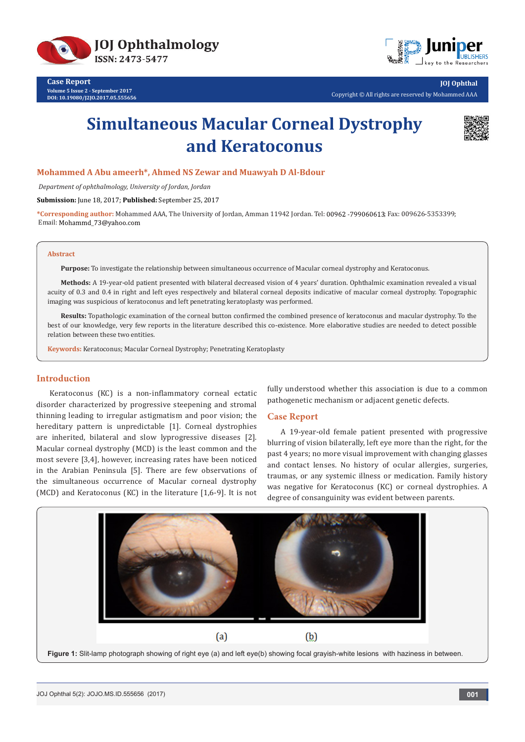



**Case Report Volume 5 Issue 2 - September 2017 DOI: [10.19080/J2JO.2017.05.555656](http://dx.doi.org/10.19080/JOJO.2017.05.555656)**

**JOJ Ophthal** Copyright © All rights are reserved by Mohammed AAA

# **Simultaneous Macular Corneal Dystrophy and Keratoconus**



#### **Mohammed A Abu ameerh\*, Ahmed NS Zewar and Muawyah D Al-Bdour**

 *Department of ophthalmology, University of Jordan, Jordan*

**Submission:** June 18, 2017; **Published:** September 25, 2017

\*Corresponding author: Mohammed AAA, The University of Jordan, Amman 11942 Jordan. Tel: 00962 -799060613; Fax: 009626-5353399; Email: Mohammd\_73@yahoo.com

#### **Abstract**

**Purpose:** To investigate the relationship between simultaneous occurrence of Macular corneal dystrophy and Keratoconus.

**Methods:** A 19-year-old patient presented with bilateral decreased vision of 4 years' duration. Ophthalmic examination revealed a visual acuity of 0.3 and 0.4 in right and left eyes respectively and bilateral corneal deposits indicative of macular corneal dystrophy. Topographic imaging was suspicious of keratoconus and left penetrating keratoplasty was performed.

**Results:** Topathologic examination of the corneal button confirmed the combined presence of keratoconus and macular dystrophy. To the best of our knowledge, very few reports in the literature described this co-existence. More elaborative studies are needed to detect possible relation between these two entities.

**Keywords:** Keratoconus; Macular Corneal Dystrophy; Penetrating Keratoplasty

## **Introduction**

Keratoconus (KC) is a non-inflammatory corneal ectatic disorder characterized by progressive steepening and stromal thinning leading to irregular astigmatism and poor vision; the hereditary pattern is unpredictable [1]. Corneal dystrophies are inherited, bilateral and slow lyprogressive diseases [2]. Macular corneal dystrophy (MCD) is the least common and the most severe [3,4], however, increasing rates have been noticed in the Arabian Peninsula [5]. There are few observations of the simultaneous occurrence of Macular corneal dystrophy (MCD) and Keratoconus (KC) in the literature [1,6-9]. It is not fully understood whether this association is due to a common pathogenetic mechanism or adjacent genetic defects.

#### **Case Report**

A 19-year-old female patient presented with progressive blurring of vision bilaterally, left eye more than the right, for the past 4 years; no more visual improvement with changing glasses and contact lenses. No history of ocular allergies, surgeries, traumas, or any systemic illness or medication. Family history was negative for Keratoconus (KC) or corneal dystrophies. A degree of consanguinity was evident between parents.

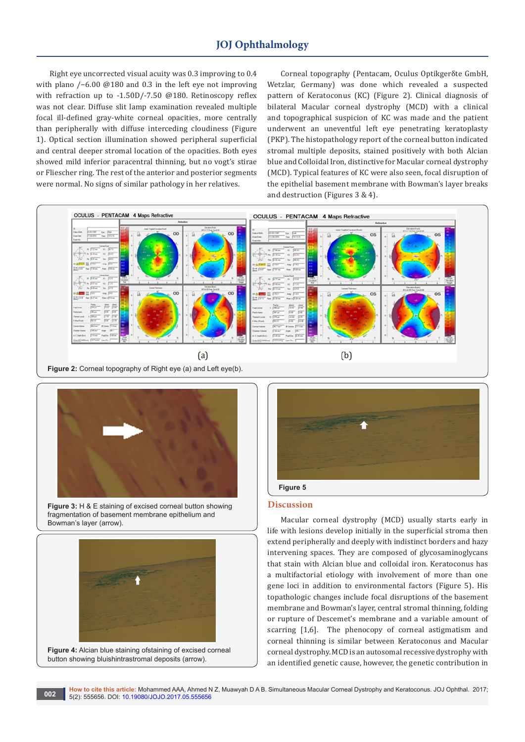# **JOJ Ophthalmology**

Right eye uncorrected visual acuity was 0.3 improving to 0.4 with plano /−6.00 @180 and 0.3 in the left eye not improving with refraction up to -1.50D/-7.50 @180. Retinoscopy reflex was not clear. Diffuse slit lamp examination revealed multiple focal ill-defined gray-white corneal opacities, more centrally than peripherally with diffuse interceding cloudiness (Figure 1). Optical section illumination showed peripheral superficial and central deeper stromal location of the opacities. Both eyes showed mild inferior paracentral thinning, but no vogt's stirae or Fliescher ring. The rest of the anterior and posterior segments were normal. No signs of similar pathology in her relatives.

Corneal topography (Pentacam, Oculus Optikgerδte GmbH, Wetzlar, Germany) was done which revealed a suspected pattern of Keratoconus (KC) (Figure 2). Clinical diagnosis of bilateral Macular corneal dystrophy (MCD) with a clinical and topographical suspicion of KC was made and the patient underwent an uneventful left eye penetrating keratoplasty (PKP). The histopathology report of the corneal button indicated stromal multiple deposits, stained positively with both Alcian blue and Colloidal Iron, distinctive for Macular corneal dystrophy (MCD). Typical features of KC were also seen, focal disruption of the epithelial basement membrane with Bowman's layer breaks and destruction (Figures 3 & 4).





**Figure 3:** H & E staining of excised corneal button showing fragmentation of basement membrane epithelium and Bowman's layer (arrow).







#### **Discussion**

Macular corneal dystrophy (MCD) usually starts early in life with lesions develop initially in the superficial stroma then extend peripherally and deeply with indistinct borders and hazy intervening spaces. They are composed of glycosaminoglycans that stain with Alcian blue and colloidal iron. Keratoconus has a multifactorial etiology with involvement of more than one gene loci in addition to environmental factors (Figure 5). His topathologic changes include focal disruptions of the basement membrane and Bowman's layer, central stromal thinning, folding or rupture of Descemet's membrane and a variable amount of scarring [1,6]. The phenocopy of corneal astigmatism and corneal thinning is similar between Keratoconus and Macular corneal dystrophy. MCD is an autosomal recessive dystrophy with an identified genetic cause, however, the genetic contribution in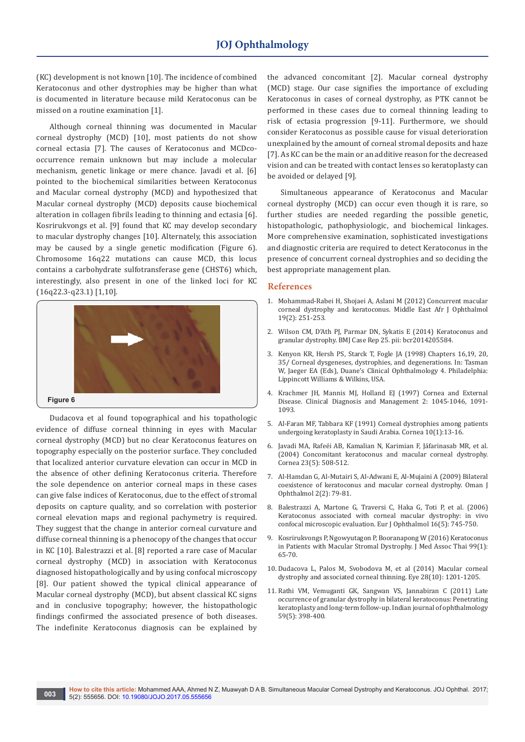(KC) development is not known [10]. The incidence of combined Keratoconus and other dystrophies may be higher than what is documented in literature because mild Keratoconus can be missed on a routine examination [1].

Although corneal thinning was documented in Macular corneal dystrophy (MCD) [10], most patients do not show corneal ectasia [7]. The causes of Keratoconus and MCDcooccurrence remain unknown but may include a molecular mechanism, genetic linkage or mere chance. Javadi et al. [6] pointed to the biochemical similarities between Keratoconus and Macular corneal dystrophy (MCD) and hypothesized that Macular corneal dystrophy (MCD) deposits cause biochemical alteration in collagen fibrils leading to thinning and ectasia [6]. Kosrirukvongs et al. [9] found that KC may develop secondary to macular dystrophy changes [10]. Alternately, this association may be caused by a single genetic modification (Figure 6). Chromosome 16q22 mutations can cause MCD, this locus contains a carbohydrate sulfotransferase gene (CHST6) which, interestingly, also present in one of the linked loci for KC (16q22.3-q23.1) [1,10].



Dudacova et al found topographical and his topathologic evidence of diffuse corneal thinning in eyes with Macular corneal dystrophy (MCD) but no clear Keratoconus features on topography especially on the posterior surface. They concluded that localized anterior curvature elevation can occur in MCD in the absence of other defining Keratoconus criteria. Therefore the sole dependence on anterior corneal maps in these cases can give false indices of Keratoconus, due to the effect of stromal deposits on capture quality, and so correlation with posterior corneal elevation maps and regional pachymetry is required. They suggest that the change in anterior corneal curvature and diffuse corneal thinning is a phenocopy of the changes that occur in KC [10]. Balestrazzi et al. [8] reported a rare case of Macular corneal dystrophy (MCD) in association with Keratoconus diagnosed histopathologically and by using confocal microscopy [8]. Our patient showed the typical clinical appearance of Macular corneal dystrophy (MCD), but absent classical KC signs and in conclusive topography; however, the histopathologic findings confirmed the associated presence of both diseases. The indefinite Keratoconus diagnosis can be explained by

the advanced concomitant [2]. Macular corneal dystrophy (MCD) stage. Our case signifies the importance of excluding Keratoconus in cases of corneal dystrophy, as PTK cannot be performed in these cases due to corneal thinning leading to risk of ectasia progression [9-11]. Furthermore, we should consider Keratoconus as possible cause for visual deterioration unexplained by the amount of corneal stromal deposits and haze [7]. As KC can be the main or an additive reason for the decreased vision and can be treated with contact lenses so keratoplasty can be avoided or delayed [9].

Simultaneous appearance of Keratoconus and Macular corneal dystrophy (MCD) can occur even though it is rare, so further studies are needed regarding the possible genetic, histopathologic, pathophysiologic, and biochemical linkages. More comprehensive examination, sophisticated investigations and diagnostic criteria are required to detect Keratoconus in the presence of concurrent corneal dystrophies and so deciding the best appropriate management plan.

#### **References**

- 1. [Mohammad-Rabei H, Shojaei A, Aslani M \(2012\) Concurrent macular](https://www.ncbi.nlm.nih.gov/pubmed/22623870/)  [corneal dystrophy and keratoconus. Middle East Afr J Ophthalmol](https://www.ncbi.nlm.nih.gov/pubmed/22623870/)  [19\(2\): 251-253.](https://www.ncbi.nlm.nih.gov/pubmed/22623870/)
- 2. [Wilson CM, D'Ath PJ, Parmar DN, Sykatis E \(2014\) Keratoconus and](https://www.ncbi.nlm.nih.gov/pubmed/25155495/)  [granular dystrophy. BMJ Case Rep 25. pii: bcr2014205584.](https://www.ncbi.nlm.nih.gov/pubmed/25155495/)
- 3. Kenyon KR, Hersh PS, Starck T, Fogle JA (1998) Chapters 16,19, 20, 35/ Corneal dysgeneses, dystrophies, and degenerations. In: Tasman W, Jaeger EA (Eds), Duane's Clinical Ophthalmology 4. Philadelphia: Lippincott Williams & Wilkins, USA.
- 4. Krachmer JH, Mannis MJ, Holland EJ (1997) Cornea and External Disease. Clinical Diagnosis and Management 2: 1045-1046, 1091- 1093.
- 5. [Al-Faran MF, Tabbara KF \(1991\) Corneal dystrophies among patients](https://www.ncbi.nlm.nih.gov/pubmed/2019101/)  [undergoing keratoplasty in Saudi Arabia. Cornea 10\(1\):13-16.](https://www.ncbi.nlm.nih.gov/pubmed/2019101/)
- 6. [Javadi MA, Rafeéi AB, Kamalian N, Karimian F, Jáfarinasab MR, et al.](https://www.ncbi.nlm.nih.gov/pubmed/15220737)  [\(2004\) Concomitant keratoconus and macular corneal dystrophy.](https://www.ncbi.nlm.nih.gov/pubmed/15220737)  [Cornea 23\(5\): 508-512.](https://www.ncbi.nlm.nih.gov/pubmed/15220737)
- 7. [Al-Hamdan G, Al-Mutairi S, Al-Adwani E, Al-Mujaini A \(2009\) Bilateral](https://www.ncbi.nlm.nih.gov/pubmed/20671834/)  [coexistence of keratoconus and macular corneal dystrophy. Oman J](https://www.ncbi.nlm.nih.gov/pubmed/20671834/)  [Ophthalmol 2\(2\): 79-81.](https://www.ncbi.nlm.nih.gov/pubmed/20671834/)
- 8. [Balestrazzi A, Martone G, Traversi C, Haka G, Toti P, et al. \(2006\)](https://www.ncbi.nlm.nih.gov/pubmed/17061228)  [Keratoconus associated with corneal macular dystrophy: in vivo](https://www.ncbi.nlm.nih.gov/pubmed/17061228)  [confocal microscopic evaluation. Eur J Ophthalmol 16\(5\): 745-750.](https://www.ncbi.nlm.nih.gov/pubmed/17061228)
- 9. [Kosrirukvongs P, Ngowyutagon P, Booranapong W \(2016\) Keratoconus](https://www.ncbi.nlm.nih.gov/pubmed/27455826)  [in Patients with Macular Stromal Dystrophy. J Med Assoc Thai 99\(1\):](https://www.ncbi.nlm.nih.gov/pubmed/27455826)  [65-70.](https://www.ncbi.nlm.nih.gov/pubmed/27455826)
- 10. [Dudacova L, Palos M, Svobodova M, et al \(2014\) Macular corneal](https://www.ncbi.nlm.nih.gov/pubmed/25081284/)  [dystrophy and associated corneal thinning. Eye 28\(10\): 1201-1205.](https://www.ncbi.nlm.nih.gov/pubmed/25081284/)
- 11. [Rathi VM, Vemuganti GK, Sangwan VS, Jannabiran C \(2011\) Late](https://www.ncbi.nlm.nih.gov/pubmed/21836353)  [occurrence of granular dystrophy in bilateral keratoconus: Penetrating](https://www.ncbi.nlm.nih.gov/pubmed/21836353)  [keratoplasty and long-term follow-up. Indian journal of ophthalmology](https://www.ncbi.nlm.nih.gov/pubmed/21836353)  [59\(5\): 398-400.](https://www.ncbi.nlm.nih.gov/pubmed/21836353)